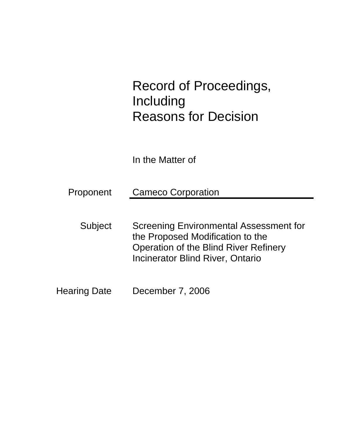# Record of Proceedings, Including Reasons for Decision

In the Matter of

| Proponent | <b>Cameco Corporation</b> |
|-----------|---------------------------|
|           |                           |

- Subject Screening Environmental Assessment for the Proposed Modification to the Operation of the Blind River Refinery Incinerator Blind River, Ontario
- Hearing Date December 7, 2006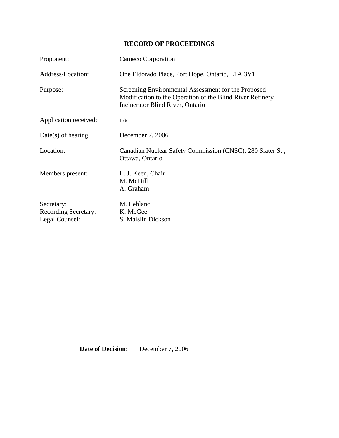# **RECORD OF PROCEEDINGS**

| Proponent:                                           | Cameco Corporation                                                                                                                                   |
|------------------------------------------------------|------------------------------------------------------------------------------------------------------------------------------------------------------|
| Address/Location:                                    | One Eldorado Place, Port Hope, Ontario, L1A 3V1                                                                                                      |
| Purpose:                                             | Screening Environmental Assessment for the Proposed<br>Modification to the Operation of the Blind River Refinery<br>Incinerator Blind River, Ontario |
| Application received:                                | n/a                                                                                                                                                  |
| $Date(s)$ of hearing:                                | December 7, 2006                                                                                                                                     |
| Location:                                            | Canadian Nuclear Safety Commission (CNSC), 280 Slater St.,<br>Ottawa, Ontario                                                                        |
| Members present:                                     | L. J. Keen, Chair<br>M. McDill<br>A. Graham                                                                                                          |
| Secretary:<br>Recording Secretary:<br>Legal Counsel: | M. Leblanc<br>K. McGee<br>S. Maislin Dickson                                                                                                         |

**Date of Decision:** December 7, 2006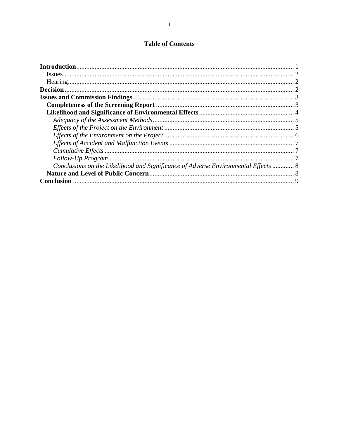# **Table of Contents**

| Conclusions on the Likelihood and Significance of Adverse Environmental Effects  8 |  |
|------------------------------------------------------------------------------------|--|
|                                                                                    |  |
| <b>Conclusion</b>                                                                  |  |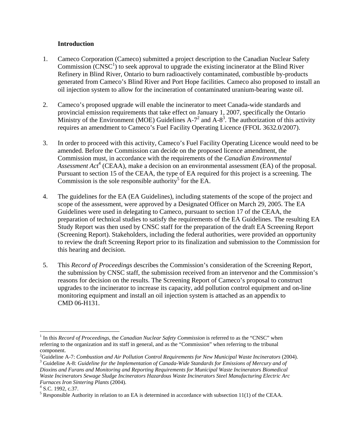# **Introduction**

- 1. Cameco Corporation (Cameco) submitted a project description to the Canadian Nuclear Safety Commission  $(CNSC<sup>1</sup>)$  to seek approval to upgrade the existing incinerator at the Blind River Refinery in Blind River, Ontario to burn radioactively contaminated, combustible by-products generated from Cameco's Blind River and Port Hope facilities. Cameco also proposed to install an oil injection system to allow for the incineration of contaminated uranium-bearing waste oil.
- 2. Cameco's proposed upgrade will enable the incinerator to meet Canada-wide standards and provincial emission requirements that take effect on January 1, 2007, specifically the Ontario Ministry of the Environment (MOE) Guidelines A-7<sup>2</sup> and A-8<sup>3</sup>. The authorization of this activity requires an amendment to Cameco's Fuel Facility Operating Licence (FFOL 3632.0/2007).
- 3. In order to proceed with this activity, Cameco's Fuel Facility Operating Licence would need to be amended. Before the Commission can decide on the proposed licence amendment, the Commission must, in accordance with the requirements of the *Canadian Environmental*  Assessment Act<sup>4</sup> (CEAA), make a decision on an environmental assessment (EA) of the proposal. Pursuant to section 15 of the CEAA, the type of EA required for this project is a screening. The Commission is the sole responsible authority<sup>5</sup> for the EA.
- 4. The guidelines for the EA (EA Guidelines), including statements of the scope of the project and scope of the assessment, were approved by a Designated Officer on March 29, 2005. The EA Guidelines were used in delegating to Cameco, pursuant to section 17 of the CEAA, the preparation of technical studies to satisfy the requirements of the EA Guidelines. The resulting EA Study Report was then used by CNSC staff for the preparation of the draft EA Screening Report (Screening Report). Stakeholders, including the federal authorities, were provided an opportunity to review the draft Screening Report prior to its finalization and submission to the Commission for this hearing and decision.
- 5. This *Record of Proceedings* describes the Commission's consideration of the Screening Report, the submission by CNSC staff, the submission received from an intervenor and the Commission's reasons for decision on the results. The Screening Report of Cameco's proposal to construct upgrades to the incinerator to increase its capacity, add pollution control equipment and on-line monitoring equipment and install an oil injection system is attached as an appendix to CMD 06-H131.

 $\overline{a}$ 

<sup>&</sup>lt;sup>1</sup> In this *Record of Proceedings*, the *Canadian Nuclear Safety Commission* is referred to as the "CNSC" when referring to the organization and its staff in general, and as the "Commission" when referring to the tribunal component.

<sup>&</sup>lt;sup>2</sup>Guideline A-7: *Combustion and Air Pollution Control Requirements for New Municipal Waste Incinerators (2004).*<br><sup>3</sup> Guideline A 8: *Cuideline for the Implementation of Canada Wide Standards for Emissions of Mareum and o* <sup>3</sup> Guideline A-8: *Guideline for the Implementation of Canada-Wide Standards for Emissions of Mercury and of Dioxins and Furans and Monitoring and Reporting Requirements for Municipal Waste Incinerators Biomedical Waste Incinerators Sewage Sludge Incinerators Hazardous Waste Incinerators Steel Manufacturing Electric Arc Furnaces Iron Sintering Plants* (2004). 4

 $4$  S.C. 1992, c.37.

<sup>&</sup>lt;sup>5</sup> Responsible Authority in relation to an EA is determined in accordance with subsection  $11(1)$  of the CEAA.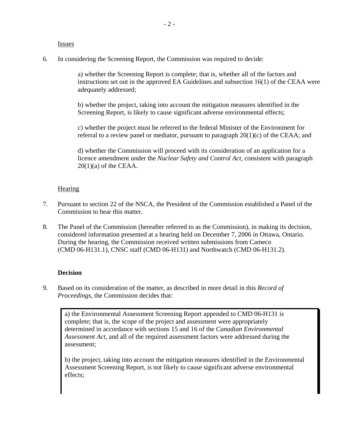**Issues** 

6. In considering the Screening Report, the Commission was required to decide:

a) whether the Screening Report is complete; that is, whether all of the factors and instructions set out in the approved EA Guidelines and subsection 16(1) of the CEAA were adequately addressed;

b) whether the project, taking into account the mitigation measures identified in the Screening Report, is likely to cause significant adverse environmental effects;

c) whether the project must be referred to the federal Minister of the Environment for referral to a review panel or mediator, pursuant to paragraph  $20(1)(c)$  of the CEAA; and

d) whether the Commission will proceed with its consideration of an application for a licence amendment under the *Nuclear Safety and Control Act*, consistent with paragraph  $20(1)(a)$  of the CEAA.

# **Hearing**

- 7. Pursuant to section 22 of the NSCA, the President of the Commission established a Panel of the Commission to hear this matter.
- 8. The Panel of the Commission (hereafter referred to as the Commission), in making its decision, considered information presented at a hearing held on December 7, 2006 in Ottawa, Ontario. During the hearing, the Commission received written submissions from Cameco (CMD 06-H131.1), CNSC staff (CMD 06-H131) and Northwatch (CMD 06-H131.2).

# **Decision**

9. Based on its consideration of the matter, as described in more detail in this *Record of Proceedings,* the Commission decides that:

a) the Environmental Assessment Screening Report appended to CMD 06-H131 is complete; that is, the scope of the project and assessment were appropriately determined in accordance with sections 15 and 16 of the *Canadian Environmental Assessment Act*, and all of the required assessment factors were addressed during the assessment;

b) the project, taking into account the mitigation measures identified in the Environmental Assessment Screening Report, is not likely to cause significant adverse environmental effects;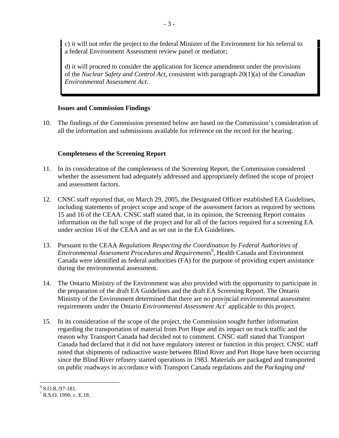c) it will not refer the project to the federal Minister of the Environment for his referral to a federal Environment Assessment review panel or mediator;

d) it will proceed to consider the application for licence amendment under the provisions of the *Nuclear Safety and Control Act*, consistent with paragraph 20(1)(a) of the *Canadian Environmental Assessment Act*.

# **Issues and Commission Findings**

10. The findings of the Commission presented below are based on the Commission's consideration of all the information and submissions available for reference on the record for the hearing.

# **Completeness of the Screening Report**

- 11. In its consideration of the completeness of the Screening Report, the Commission considered whether the assessment had adequately addressed and appropriately defined the scope of project and assessment factors.
- 12. CNSC staff reported that, on March 29, 2005, the Designated Officer established EA Guidelines, including statements of project scope and scope of the assessment factors as required by sections 15 and 16 of the CEAA. CNSC staff stated that, in its opinion, the Screening Report contains information on the full scope of the project and for all of the factors required for a screening EA under section 16 of the CEAA and as set out in the EA Guidelines.
- 13. Pursuant to the CEAA *Regulations Respecting the Coordination by Federal Authorities of Environmental Assessment Procedures and Requirements*<sup>6</sup> , Health Canada and Environment Canada were identified as federal authorities (FA) for the purpose of providing expert assistance during the environmental assessment.
- 14. The Ontario Ministry of the Environment was also provided with the opportunity to participate in the preparation of the draft EA Guidelines and the draft EA Screening Report. The Ontario Ministry of the Environment determined that there are no provincial environmental assessment requirements under the Ontario *Environmental Assessment Act*<sup>7</sup> applicable to this project.
- 15. In its consideration of the scope of the project, the Commission sought further information regarding the transportation of material from Port Hope and its impact on truck traffic and the reason why Transport Canada had decided not to comment. CNSC staff stated that Transport Canada had declared that it did not have regulatory interest or function in this project. CNSC staff noted that shipments of radioactive waste between Blind River and Port Hope have been occurring since the Blind River refinery started operations in 1983. Materials are packaged and transported on public roadways in accordance with Transport Canada regulations and the *Packaging and*

 6 S.O.R./97-181.

 $<sup>7</sup>$  R.S.O. 1990, c. E.18.</sup>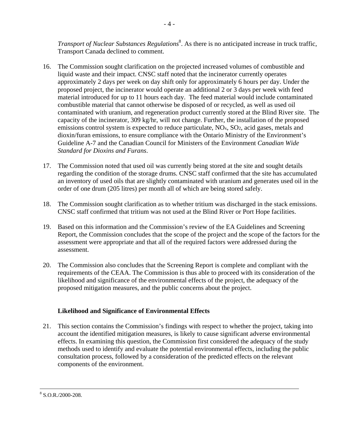*Transport of Nuclear Substances Regulations*<sup>8</sup> . As there is no anticipated increase in truck traffic, Transport Canada declined to comment.

- 16. The Commission sought clarification on the projected increased volumes of combustible and liquid waste and their impact. CNSC staff noted that the incinerator currently operates approximately 2 days per week on day shift only for approximately 6 hours per day. Under the proposed project, the incinerator would operate an additional 2 or 3 days per week with feed material introduced for up to 11 hours each day. The feed material would include contaminated combustible material that cannot otherwise be disposed of or recycled, as well as used oil contaminated with uranium, and regeneration product currently stored at the Blind River site. The capacity of the incinerator, 309 kg/hr, will not change. Further, the installation of the proposed emissions control system is expected to reduce particulate, NO<sub>x</sub>, SO<sub>2</sub>, acid gases, metals and dioxin/furan emissions, to ensure compliance with the Ontario Ministry of the Environment's Guideline A-7 and the Canadian Council for Ministers of the Environment *Canadian Wide Standard for Dioxins and Furans*.
- 17. The Commission noted that used oil was currently being stored at the site and sought details regarding the condition of the storage drums. CNSC staff confirmed that the site has accumulated an inventory of used oils that are slightly contaminated with uranium and generates used oil in the order of one drum (205 litres) per month all of which are being stored safely.
- 18. The Commission sought clarification as to whether tritium was discharged in the stack emissions. CNSC staff confirmed that tritium was not used at the Blind River or Port Hope facilities.
- 19. Based on this information and the Commission's review of the EA Guidelines and Screening Report, the Commission concludes that the scope of the project and the scope of the factors for the assessment were appropriate and that all of the required factors were addressed during the assessment.
- 20. The Commission also concludes that the Screening Report is complete and compliant with the requirements of the CEAA. The Commission is thus able to proceed with its consideration of the likelihood and significance of the environmental effects of the project, the adequacy of the proposed mitigation measures, and the public concerns about the project.

# **Likelihood and Significance of Environmental Effects**

21. This section contains the Commission's findings with respect to whether the project, taking into account the identified mitigation measures, is likely to cause significant adverse environmental effects. In examining this question, the Commission first considered the adequacy of the study methods used to identify and evaluate the potential environmental effects, including the public consultation process, followed by a consideration of the predicted effects on the relevant components of the environment.

 $\frac{1}{8}$  $8$  S.O.R./2000-208.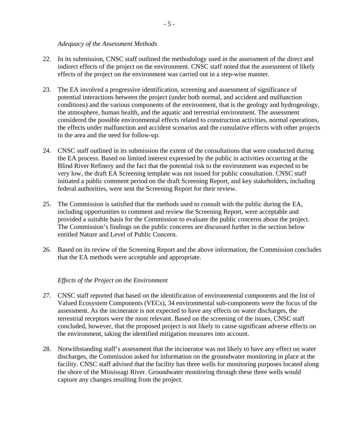#### *Adequacy of the Assessment Methods*

- 22. In its submission, CNSC staff outlined the methodology used in the assessment of the direct and indirect effects of the project on the environment. CNSC staff noted that the assessment of likely effects of the project on the environment was carried out in a step-wise manner.
- 23. The EA involved a progressive identification, screening and assessment of significance of potential interactions between the project (under both normal, and accident and malfunction conditions) and the various components of the environment, that is the geology and hydrogeology, the atmosphere, human health, and the aquatic and terrestrial environment. The assessment considered the possible environmental effects related to construction activities, normal operations, the effects under malfunction and accident scenarios and the cumulative effects with other projects in the area and the need for follow-up.
- 24. CNSC staff outlined in its submission the extent of the consultations that were conducted during the EA process. Based on limited interest expressed by the public in activities occurring at the Blind River Refinery and the fact that the potential risk to the environment was expected to be very low, the draft EA Screening template was not issued for public consultation. CNSC staff initiated a public comment period on the draft Screening Report, and key stakeholders, including federal authorities, were sent the Screening Report for their review.
- 25. The Commission is satisfied that the methods used to consult with the public during the EA, including opportunities to comment and review the Screening Report, were acceptable and provided a suitable basis for the Commission to evaluate the public concerns about the project. The Commission's findings on the public concerns are discussed further in the section below entitled Nature and Level of Public Concern.
- 26. Based on its review of the Screening Report and the above information, the Commission concludes that the EA methods were acceptable and appropriate.

#### *Effects of the Project on the Environment*

- 27. CNSC staff reported that based on the identification of environmental components and the list of Valued Ecosystem Components (VECs), 34 environmental sub-components were the focus of the assessment. As the incinerator is not expected to have any effects on water discharges, the terrestrial receptors were the most relevant. Based on the screening of the issues, CNSC staff concluded, however, that the proposed project is not likely to cause significant adverse effects on the environment, taking the identified mitigation measures into account.
- 28. Notwithstanding staff's assessment that the incinerator was not likely to have any effect on water discharges, the Commission asked for information on the groundwater monitoring in place at the facility. CNSC staff advised that the facility has three wells for monitoring purposes located along the shore of the Mississagi River. Groundwater monitoring through these three wells would capture any changes resulting from the project.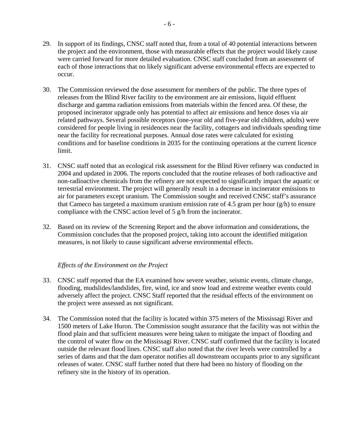- 29. In support of its findings, CNSC staff noted that, from a total of 40 potential interactions between the project and the environment, those with measurable effects that the project would likely cause were carried forward for more detailed evaluation. CNSC staff concluded from an assessment of each of those interactions that no likely significant adverse environmental effects are expected to occur.
- 30. The Commission reviewed the dose assessment for members of the public. The three types of releases from the Blind River facility to the environment are air emissions, liquid effluent discharge and gamma radiation emissions from materials within the fenced area. Of these, the proposed incinerator upgrade only has potential to affect air emissions and hence doses via air related pathways. Several possible receptors (one-year old and five-year old children, adults) were considered for people living in residences near the facility, cottagers and individuals spending time near the facility for recreational purposes. Annual dose rates were calculated for existing conditions and for baseline conditions in 2035 for the continuing operations at the current licence limit.
- 31. CNSC staff noted that an ecological risk assessment for the Blind River refinery was conducted in 2004 and updated in 2006. The reports concluded that the routine releases of both radioactive and non-radioactive chemicals from the refinery are not expected to significantly impact the aquatic or terrestrial environment. The project will generally result in a decrease in incinerator emissions to air for parameters except uranium. The Commission sought and received CNSC staff's assurance that Cameco has targeted a maximum uranium emission rate of 4.5 gram per hour  $(g/h)$  to ensure compliance with the CNSC action level of 5 g/h from the incinerator.
- 32. Based on its review of the Screening Report and the above information and considerations, the Commission concludes that the proposed project, taking into account the identified mitigation measures, is not likely to cause significant adverse environmental effects.

# *Effects of the Environment on the Project*

- 33. CNSC staff reported that the EA examined how severe weather, seismic events, climate change, flooding, mudslides/landslides, fire, wind, ice and snow load and extreme weather events could adversely affect the project. CNSC Staff reported that the residual effects of the environment on the project were assessed as not significant.
- 34. The Commission noted that the facility is located within 375 meters of the Mississagi River and 1500 meters of Lake Huron. The Commission sought assurance that the facility was not within the flood plain and that sufficient measures were being taken to mitigate the impact of flooding and the control of water flow on the Mississagi River. CNSC staff confirmed that the facility is located outside the relevant flood lines. CNSC staff also noted that the river levels were controlled by a series of dams and that the dam operator notifies all downstream occupants prior to any significant releases of water. CNSC staff further noted that there had been no history of flooding on the refinery site in the history of its operation.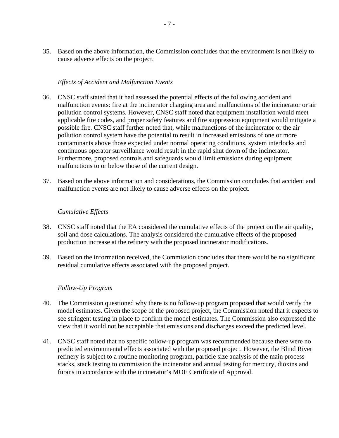35. Based on the above information, the Commission concludes that the environment is not likely to cause adverse effects on the project.

# *Effects of Accident and Malfunction Events*

- 36. CNSC staff stated that it had assessed the potential effects of the following accident and malfunction events: fire at the incinerator charging area and malfunctions of the incinerator or air pollution control systems. However, CNSC staff noted that equipment installation would meet applicable fire codes, and proper safety features and fire suppression equipment would mitigate a possible fire. CNSC staff further noted that, while malfunctions of the incinerator or the air pollution control system have the potential to result in increased emissions of one or more contaminants above those expected under normal operating conditions, system interlocks and continuous operator surveillance would result in the rapid shut down of the incinerator. Furthermore, proposed controls and safeguards would limit emissions during equipment malfunctions to or below those of the current design.
- 37. Based on the above information and considerations, the Commission concludes that accident and malfunction events are not likely to cause adverse effects on the project.

#### *Cumulative Effects*

- 38. CNSC staff noted that the EA considered the cumulative effects of the project on the air quality, soil and dose calculations. The analysis considered the cumulative effects of the proposed production increase at the refinery with the proposed incinerator modifications.
- 39. Based on the information received, the Commission concludes that there would be no significant residual cumulative effects associated with the proposed project.

#### *Follow-Up Program*

- 40. The Commission questioned why there is no follow-up program proposed that would verify the model estimates. Given the scope of the proposed project, the Commission noted that it expects to see stringent testing in place to confirm the model estimates. The Commission also expressed the view that it would not be acceptable that emissions and discharges exceed the predicted level.
- 41. CNSC staff noted that no specific follow-up program was recommended because there were no predicted environmental effects associated with the proposed project. However, the Blind River refinery is subject to a routine monitoring program, particle size analysis of the main process stacks, stack testing to commission the incinerator and annual testing for mercury, dioxins and furans in accordance with the incinerator's MOE Certificate of Approval.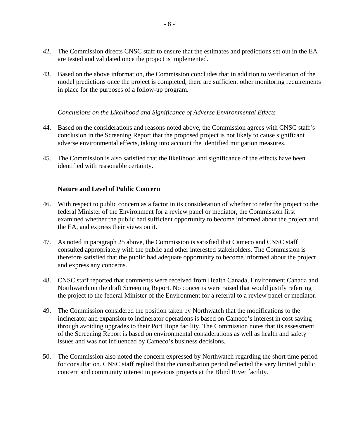- 42. The Commission directs CNSC staff to ensure that the estimates and predictions set out in the EA are tested and validated once the project is implemented.
- 43. Based on the above information, the Commission concludes that in addition to verification of the model predictions once the project is completed, there are sufficient other monitoring requirements in place for the purposes of a follow-up program.

#### *Conclusions on the Likelihood and Significance of Adverse Environmental Effects*

- 44. Based on the considerations and reasons noted above, the Commission agrees with CNSC staff's conclusion in the Screening Report that the proposed project is not likely to cause significant adverse environmental effects, taking into account the identified mitigation measures.
- 45. The Commission is also satisfied that the likelihood and significance of the effects have been identified with reasonable certainty.

# **Nature and Level of Public Concern**

- 46. With respect to public concern as a factor in its consideration of whether to refer the project to the federal Minister of the Environment for a review panel or mediator, the Commission first examined whether the public had sufficient opportunity to become informed about the project and the EA, and express their views on it.
- 47. As noted in paragraph 25 above, the Commission is satisfied that Cameco and CNSC staff consulted appropriately with the public and other interested stakeholders. The Commission is therefore satisfied that the public had adequate opportunity to become informed about the project and express any concerns.
- 48. CNSC staff reported that comments were received from Health Canada, Environment Canada and Northwatch on the draft Screening Report. No concerns were raised that would justify referring the project to the federal Minister of the Environment for a referral to a review panel or mediator.
- 49. The Commission considered the position taken by Northwatch that the modifications to the incinerator and expansion to incinerator operations is based on Cameco's interest in cost saving through avoiding upgrades to their Port Hope facility. The Commission notes that its assessment of the Screening Report is based on environmental considerations as well as health and safety issues and was not influenced by Cameco's business decisions.
- 50. The Commission also noted the concern expressed by Northwatch regarding the short time period for consultation. CNSC staff replied that the consultation period reflected the very limited public concern and community interest in previous projects at the Blind River facility.